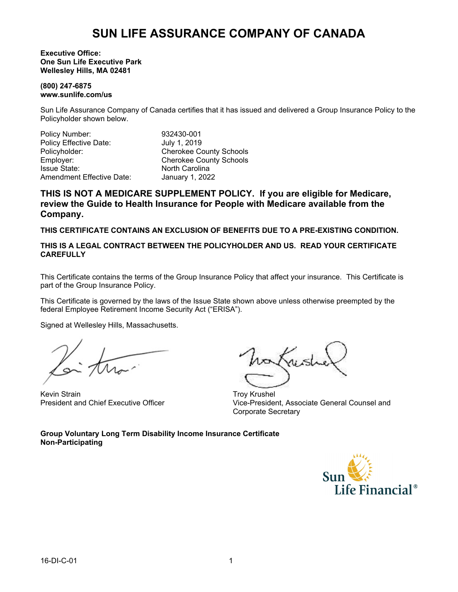#### **Executive Office: One Sun Life Executive Park Wellesley Hills, MA 02481**

#### **(800) 247-6875 www.sunlife.com/us**

Sun Life Assurance Company of Canada certifies that it has issued and delivered a Group Insurance Policy to the Policyholder shown below.

Policy Number: 932430-001<br>Policy Effective Date: 91 July 1, 2019 Policy Effective Date: Policyholder: Cherokee County Schools<br>
Employer: Cherokee County Schools Employer: Cherokee County Schools<br>
Issue State: State: Cherokee County Schools<br>
North Carolina Amendment Effective Date: January 1, 2022

North Carolina

**THIS IS NOT A MEDICARE SUPPLEMENT POLICY. If you are eligible for Medicare, review the Guide to Health Insurance for People with Medicare available from the Company.**

**THIS CERTIFICATE CONTAINS AN EXCLUSION OF BENEFITS DUE TO A PRE-EXISTING CONDITION.**

**THIS IS A LEGAL CONTRACT BETWEEN THE POLICYHOLDER AND US. READ YOUR CERTIFICATE CAREFULLY**

This Certificate contains the terms of the Group Insurance Policy that affect your insurance. This Certificate is part of the Group Insurance Policy.

This Certificate is governed by the laws of the Issue State shown above unless otherwise preempted by the federal Employee Retirement Income Security Act ("ERISA").

Signed at Wellesley Hills, Massachusetts.

Kevin Strain President and Chief Executive Officer

Troy Krushel Vice-President, Associate General Counsel and Corporate Secretary

**Group Voluntary Long Term Disability Income Insurance Certificate Non-Participating**

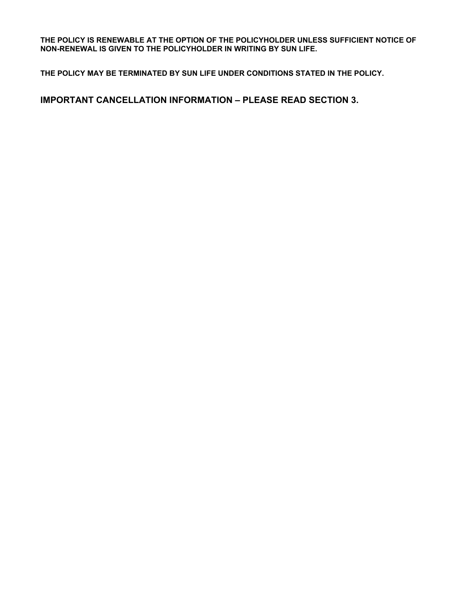**THE POLICY IS RENEWABLE AT THE OPTION OF THE POLICYHOLDER UNLESS SUFFICIENT NOTICE OF NON-RENEWAL IS GIVEN TO THE POLICYHOLDER IN WRITING BY SUN LIFE.**

**THE POLICY MAY BE TERMINATED BY SUN LIFE UNDER CONDITIONS STATED IN THE POLICY.**

**IMPORTANT CANCELLATION INFORMATION – PLEASE READ SECTION 3.**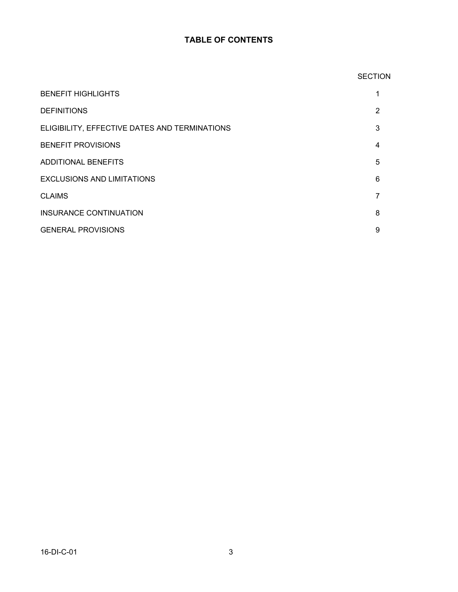### **TABLE OF CONTENTS**

# **SECTION** BENEFIT HIGHLIGHTS 1 DEFINITIONS 2 ELIGIBILITY, EFFECTIVE DATES AND TERMINATIONS 3 BENEFIT PROVISIONS 4 ADDITIONAL BENEFITS 5 EXCLUSIONS AND LIMITATIONS 6 CLAIMS **7** INSURANCE CONTINUATION 8 GENERAL PROVISIONS 9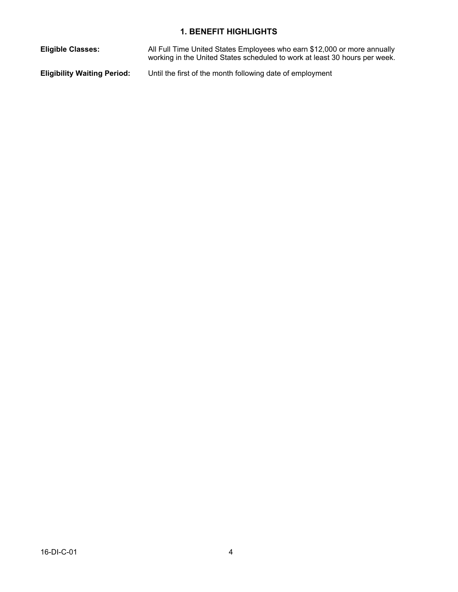### **1. BENEFIT HIGHLIGHTS**

**Eligible Classes:** All Full Time United States Employees who earn \$12,000 or more annually working in the United States scheduled to work at least 30 hours per week. **Eligibility Waiting Period:** Until the first of the month following date of employment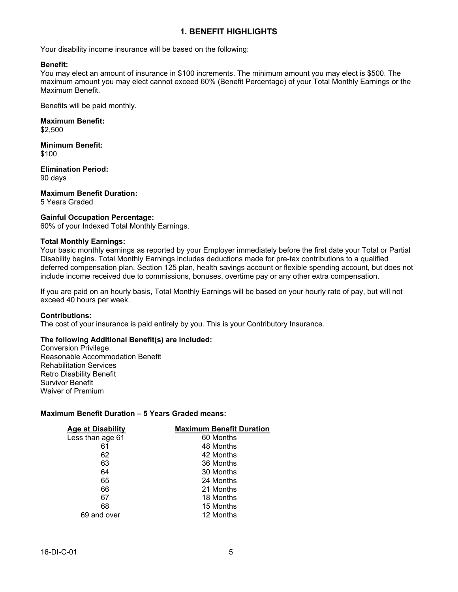### **1. BENEFIT HIGHLIGHTS**

Your disability income insurance will be based on the following:

#### **Benefit:**

You may elect an amount of insurance in \$100 increments. The minimum amount you may elect is \$500. The maximum amount you may elect cannot exceed 60% (Benefit Percentage) of your Total Monthly Earnings or the Maximum Benefit.

Benefits will be paid monthly.

**Maximum Benefit:** \$2,500

**Minimum Benefit:** \$100

**Elimination Period:** 90 days

**Maximum Benefit Duration:** 5 Years Graded

#### **Gainful Occupation Percentage:**

60% of your Indexed Total Monthly Earnings.

#### **Total Monthly Earnings:**

Your basic monthly earnings as reported by your Employer immediately before the first date your Total or Partial Disability begins. Total Monthly Earnings includes deductions made for pre-tax contributions to a qualified deferred compensation plan, Section 125 plan, health savings account or flexible spending account, but does not include income received due to commissions, bonuses, overtime pay or any other extra compensation.

If you are paid on an hourly basis, Total Monthly Earnings will be based on your hourly rate of pay, but will not exceed 40 hours per week.

#### **Contributions:**

The cost of your insurance is paid entirely by you. This is your Contributory Insurance.

#### **The following Additional Benefit(s) are included:**

Conversion Privilege Reasonable Accommodation Benefit Rehabilitation Services Retro Disability Benefit Survivor Benefit Waiver of Premium

#### **Maximum Benefit Duration – 5 Years Graded means:**

| <b>Maximum Benefit Duration</b> |
|---------------------------------|
| 60 Months                       |
| 48 Months                       |
| 42 Months                       |
| 36 Months                       |
| 30 Months                       |
| 24 Months                       |
| 21 Months                       |
| 18 Months                       |
| 15 Months                       |
| 12 Months                       |
|                                 |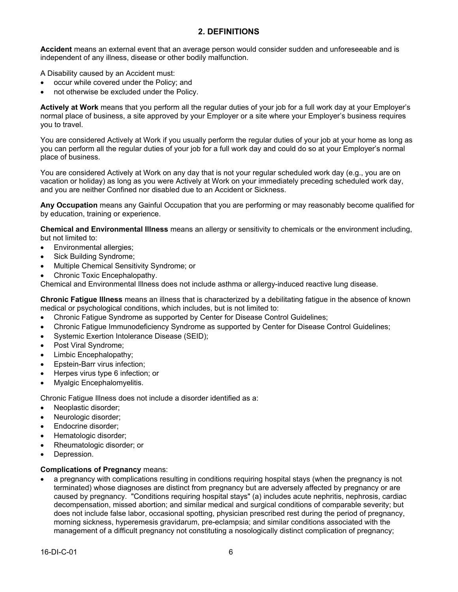### **2. DEFINITIONS**

**Accident** means an external event that an average person would consider sudden and unforeseeable and is independent of any illness, disease or other bodily malfunction.

A Disability caused by an Accident must:

- occur while covered under the Policy; and
- not otherwise be excluded under the Policy.

**Actively at Work** means that you perform all the regular duties of your job for a full work day at your Employer's normal place of business, a site approved by your Employer or a site where your Employer's business requires you to travel.

You are considered Actively at Work if you usually perform the regular duties of your job at your home as long as you can perform all the regular duties of your job for a full work day and could do so at your Employer's normal place of business.

You are considered Actively at Work on any day that is not your regular scheduled work day (e.g., you are on vacation or holiday) as long as you were Actively at Work on your immediately preceding scheduled work day, and you are neither Confined nor disabled due to an Accident or Sickness.

**Any Occupation** means any Gainful Occupation that you are performing or may reasonably become qualified for by education, training or experience.

**Chemical and Environmental Illness** means an allergy or sensitivity to chemicals or the environment including, but not limited to:

- Environmental allergies;
- Sick Building Syndrome;
- · Multiple Chemical Sensitivity Syndrome; or
- Chronic Toxic Encephalopathy.

Chemical and Environmental Illness does not include asthma or allergy-induced reactive lung disease.

**Chronic Fatigue Illness** means an illness that is characterized by a debilitating fatigue in the absence of known medical or psychological conditions, which includes, but is not limited to:

- · Chronic Fatigue Syndrome as supported by Center for Disease Control Guidelines;
- · Chronic Fatigue Immunodeficiency Syndrome as supported by Center for Disease Control Guidelines;
- Systemic Exertion Intolerance Disease (SEID);
- Post Viral Syndrome;
- Limbic Encephalopathy;
- Epstein-Barr virus infection;
- Herpes virus type 6 infection; or
- · Myalgic Encephalomyelitis.

Chronic Fatigue Illness does not include a disorder identified as a:

- · Neoplastic disorder;
- Neurologic disorder;
- Endocrine disorder:
- Hematologic disorder;
- Rheumatologic disorder; or
- Depression.

#### **Complications of Pregnancy** means:

a pregnancy with complications resulting in conditions requiring hospital stays (when the pregnancy is not terminated) whose diagnoses are distinct from pregnancy but are adversely affected by pregnancy or are caused by pregnancy. "Conditions requiring hospital stays" (a) includes acute nephritis, nephrosis, cardiac decompensation, missed abortion; and similar medical and surgical conditions of comparable severity; but does not include false labor, occasional spotting, physician prescribed rest during the period of pregnancy, morning sickness, hyperemesis gravidarum, pre-eclampsia; and similar conditions associated with the management of a difficult pregnancy not constituting a nosologically distinct complication of pregnancy;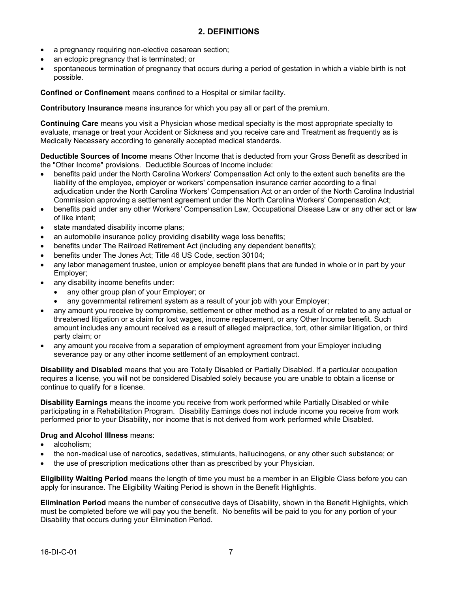- a pregnancy requiring non-elective cesarean section;
- an ectopic pregnancy that is terminated; or
- spontaneous termination of pregnancy that occurs during a period of gestation in which a viable birth is not possible.

**Confined or Confinement** means confined to a Hospital or similar facility.

**Contributory Insurance** means insurance for which you pay all or part of the premium.

**Continuing Care** means you visit a Physician whose medical specialty is the most appropriate specialty to evaluate, manage or treat your Accident or Sickness and you receive care and Treatment as frequently as is Medically Necessary according to generally accepted medical standards.

**Deductible Sources of Income** means Other Income that is deducted from your Gross Benefit as described in the "Other Income" provisions. Deductible Sources of Income include:

- · benefits paid under the North Carolina Workers' Compensation Act only to the extent such benefits are the liability of the employee, employer or workers' compensation insurance carrier according to a final adjudication under the North Carolina Workers' Compensation Act or an order of the North Carolina Industrial Commission approving a settlement agreement under the North Carolina Workers' Compensation Act;
- · benefits paid under any other Workers' Compensation Law, Occupational Disease Law or any other act or law of like intent;
- state mandated disability income plans;
- an automobile insurance policy providing disability wage loss benefits;
- benefits under The Railroad Retirement Act (including any dependent benefits);
- benefits under The Jones Act; Title 46 US Code, section 30104;
- any labor management trustee, union or employee benefit plans that are funded in whole or in part by your Employer;
- any disability income benefits under:
	- any other group plan of your Employer; or
	- any governmental retirement system as a result of your job with your Employer;
- any amount you receive by compromise, settlement or other method as a result of or related to any actual or threatened litigation or a claim for lost wages, income replacement, or any Other Income benefit. Such amount includes any amount received as a result of alleged malpractice, tort, other similar litigation, or third party claim; or
- any amount you receive from a separation of employment agreement from your Employer including severance pay or any other income settlement of an employment contract.

**Disability and Disabled** means that you are Totally Disabled or Partially Disabled. If a particular occupation requires a license, you will not be considered Disabled solely because you are unable to obtain a license or continue to qualify for a license.

**Disability Earnings** means the income you receive from work performed while Partially Disabled or while participating in a Rehabilitation Program. Disability Earnings does not include income you receive from work performed prior to your Disability, nor income that is not derived from work performed while Disabled.

#### **Drug and Alcohol Illness** means:

- alcoholism:
- · the non-medical use of narcotics, sedatives, stimulants, hallucinogens, or any other such substance; or
- the use of prescription medications other than as prescribed by your Physician.

**Eligibility Waiting Period** means the length of time you must be a member in an Eligible Class before you can apply for insurance. The Eligibility Waiting Period is shown in the Benefit Highlights.

**Elimination Period** means the number of consecutive days of Disability, shown in the Benefit Highlights, which must be completed before we will pay you the benefit. No benefits will be paid to you for any portion of your Disability that occurs during your Elimination Period.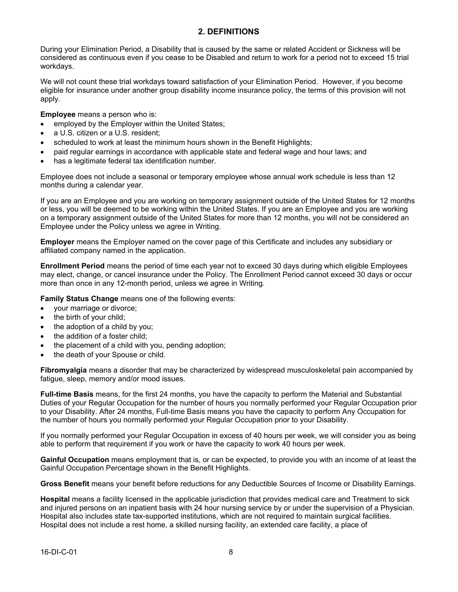### **2. DEFINITIONS**

During your Elimination Period, a Disability that is caused by the same or related Accident or Sickness will be considered as continuous even if you cease to be Disabled and return to work for a period not to exceed 15 trial workdays.

We will not count these trial workdays toward satisfaction of your Elimination Period. However, if you become eligible for insurance under another group disability income insurance policy, the terms of this provision will not apply.

**Employee** means a person who is:

- employed by the Employer within the United States;
- a U.S. citizen or a U.S. resident:
- scheduled to work at least the minimum hours shown in the Benefit Highlights;
- · paid regular earnings in accordance with applicable state and federal wage and hour laws; and
- has a legitimate federal tax identification number.

Employee does not include a seasonal or temporary employee whose annual work schedule is less than 12 months during a calendar year.

If you are an Employee and you are working on temporary assignment outside of the United States for 12 months or less, you will be deemed to be working within the United States. If you are an Employee and you are working on a temporary assignment outside of the United States for more than 12 months, you will not be considered an Employee under the Policy unless we agree in Writing.

**Employer** means the Employer named on the cover page of this Certificate and includes any subsidiary or affiliated company named in the application.

**Enrollment Period** means the period of time each year not to exceed 30 days during which eligible Employees may elect, change, or cancel insurance under the Policy. The Enrollment Period cannot exceed 30 days or occur more than once in any 12-month period, unless we agree in Writing.

**Family Status Change** means one of the following events:

- your marriage or divorce;
- the birth of your child;
- the adoption of a child by you;
- · the addition of a foster child;
- the placement of a child with you, pending adoption;
- the death of your Spouse or child.

**Fibromyalgia** means a disorder that may be characterized by widespread musculoskeletal pain accompanied by fatigue, sleep, memory and/or mood issues.

**Full-time Basis** means, for the first 24 months, you have the capacity to perform the Material and Substantial Duties of your Regular Occupation for the number of hours you normally performed your Regular Occupation prior to your Disability. After 24 months, Full-time Basis means you have the capacity to perform Any Occupation for the number of hours you normally performed your Regular Occupation prior to your Disability.

If you normally performed your Regular Occupation in excess of 40 hours per week, we will consider you as being able to perform that requirement if you work or have the capacity to work 40 hours per week.

**Gainful Occupation** means employment that is, or can be expected, to provide you with an income of at least the Gainful Occupation Percentage shown in the Benefit Highlights.

**Gross Benefit** means your benefit before reductions for any Deductible Sources of Income or Disability Earnings.

**Hospital** means a facility licensed in the applicable jurisdiction that provides medical care and Treatment to sick and injured persons on an inpatient basis with 24 hour nursing service by or under the supervision of a Physician. Hospital also includes state tax-supported institutions, which are not required to maintain surgical facilities. Hospital does not include a rest home, a skilled nursing facility, an extended care facility, a place of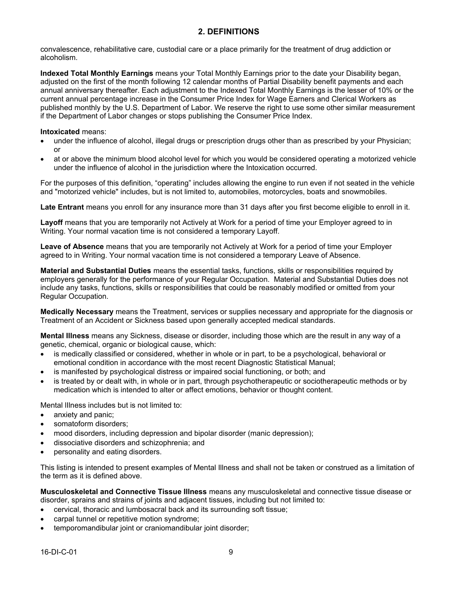### **2. DEFINITIONS**

convalescence, rehabilitative care, custodial care or a place primarily for the treatment of drug addiction or alcoholism.

**Indexed Total Monthly Earnings** means your Total Monthly Earnings prior to the date your Disability began, adjusted on the first of the month following 12 calendar months of Partial Disability benefit payments and each annual anniversary thereafter. Each adjustment to the Indexed Total Monthly Earnings is the lesser of 10% or the current annual percentage increase in the Consumer Price Index for Wage Earners and Clerical Workers as published monthly by the U.S. Department of Labor. We reserve the right to use some other similar measurement if the Department of Labor changes or stops publishing the Consumer Price Index.

#### **Intoxicated** means:

- under the influence of alcohol, illegal drugs or prescription drugs other than as prescribed by your Physician; or
- at or above the minimum blood alcohol level for which you would be considered operating a motorized vehicle under the influence of alcohol in the jurisdiction where the Intoxication occurred.

For the purposes of this definition, "operating" includes allowing the engine to run even if not seated in the vehicle and "motorized vehicle" includes, but is not limited to, automobiles, motorcycles, boats and snowmobiles.

**Late Entrant** means you enroll for any insurance more than 31 days after you first become eligible to enroll in it.

**Layoff** means that you are temporarily not Actively at Work for a period of time your Employer agreed to in Writing. Your normal vacation time is not considered a temporary Layoff.

**Leave of Absence** means that you are temporarily not Actively at Work for a period of time your Employer agreed to in Writing. Your normal vacation time is not considered a temporary Leave of Absence.

**Material and Substantial Duties** means the essential tasks, functions, skills or responsibilities required by employers generally for the performance of your Regular Occupation. Material and Substantial Duties does not include any tasks, functions, skills or responsibilities that could be reasonably modified or omitted from your Regular Occupation.

**Medically Necessary** means the Treatment, services or supplies necessary and appropriate for the diagnosis or Treatment of an Accident or Sickness based upon generally accepted medical standards.

**Mental Illness** means any Sickness, disease or disorder, including those which are the result in any way of a genetic, chemical, organic or biological cause, which:

- is medically classified or considered, whether in whole or in part, to be a psychological, behavioral or emotional condition in accordance with the most recent Diagnostic Statistical Manual;
- is manifested by psychological distress or impaired social functioning, or both; and
- is treated by or dealt with, in whole or in part, through psychotherapeutic or sociotherapeutic methods or by medication which is intended to alter or affect emotions, behavior or thought content.

Mental lIlness includes but is not limited to:

- anxiety and panic;
- somatoform disorders;
- mood disorders, including depression and bipolar disorder (manic depression);
- dissociative disorders and schizophrenia; and
- personality and eating disorders.

This listing is intended to present examples of Mental Illness and shall not be taken or construed as a limitation of the term as it is defined above.

**Musculoskeletal and Connective Tissue Illness** means any musculoskeletal and connective tissue disease or disorder, sprains and strains of joints and adjacent tissues, including but not limited to:

- · cervical, thoracic and lumbosacral back and its surrounding soft tissue;
- carpal tunnel or repetitive motion syndrome;
- temporomandibular joint or craniomandibular joint disorder;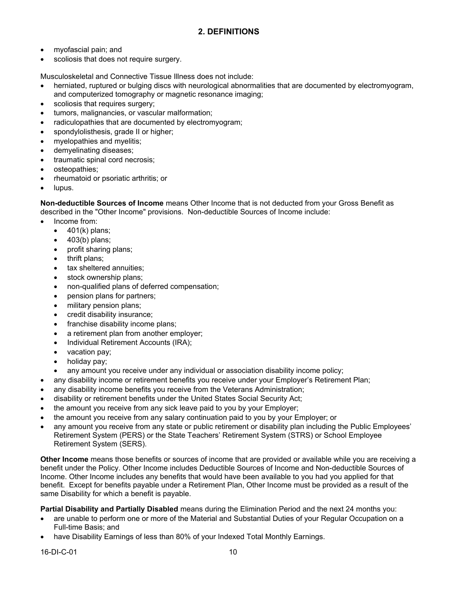- · myofascial pain; and
- scoliosis that does not require surgery.

Musculoskeletal and Connective Tissue Illness does not include:

- herniated, ruptured or bulging discs with neurological abnormalities that are documented by electromyogram, and computerized tomography or magnetic resonance imaging;
- scoliosis that requires surgery;
- tumors, malignancies, or vascular malformation;
- radiculopathies that are documented by electromyogram;
- spondylolisthesis, grade II or higher;
- · myelopathies and myelitis;
- demyelinating diseases;
- traumatic spinal cord necrosis;
- osteopathies;
- · rheumatoid or psoriatic arthritis; or
- lupus.

**Non-deductible Sources of Income** means Other Income that is not deducted from your Gross Benefit as described in the "Other Income" provisions. Non-deductible Sources of Income include:

- Income from:
	- · 401(k) plans;
	- · 403(b) plans;
	- profit sharing plans;
	- · thrift plans;
	- tax sheltered annuities;
	- stock ownership plans;
	- · non-qualified plans of deferred compensation;
	- pension plans for partners;
	- military pension plans;
	- credit disability insurance;
	- franchise disability income plans;
	- a retirement plan from another employer;
	- · Individual Retirement Accounts (IRA);
	- · vacation pay;
	- holiday pay;
	- any amount you receive under any individual or association disability income policy;
- · any disability income or retirement benefits you receive under your Employer's Retirement Plan;
- any disability income benefits you receive from the Veterans Administration;
- · disability or retirement benefits under the United States Social Security Act;
- · the amount you receive from any sick leave paid to you by your Employer;
- the amount you receive from any salary continuation paid to you by your Employer; or
- · any amount you receive from any state or public retirement or disability plan including the Public Employees' Retirement System (PERS) or the State Teachers' Retirement System (STRS) or School Employee Retirement System (SERS).

**Other Income** means those benefits or sources of income that are provided or available while you are receiving a benefit under the Policy. Other Income includes Deductible Sources of Income and Non-deductible Sources of Income. Other Income includes any benefits that would have been available to you had you applied for that benefit. Except for benefits payable under a Retirement Plan, Other Income must be provided as a result of the same Disability for which a benefit is payable.

**Partial Disability and Partially Disabled** means during the Elimination Period and the next 24 months you:

- are unable to perform one or more of the Material and Substantial Duties of your Regular Occupation on a Full-time Basis; and
- have Disability Earnings of less than 80% of your Indexed Total Monthly Earnings.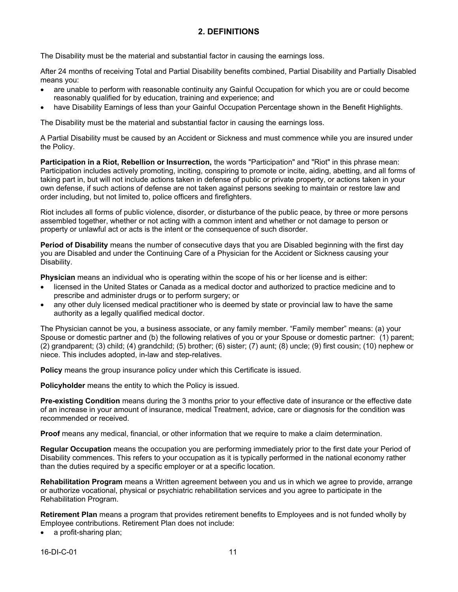### **2. DEFINITIONS**

The Disability must be the material and substantial factor in causing the earnings loss.

After 24 months of receiving Total and Partial Disability benefits combined, Partial Disability and Partially Disabled means you:

- are unable to perform with reasonable continuity any Gainful Occupation for which you are or could become reasonably qualified for by education, training and experience; and
- have Disability Earnings of less than your Gainful Occupation Percentage shown in the Benefit Highlights.

The Disability must be the material and substantial factor in causing the earnings loss.

A Partial Disability must be caused by an Accident or Sickness and must commence while you are insured under the Policy.

**Participation in a Riot, Rebellion or Insurrection,** the words "Participation" and "Riot" in this phrase mean: Participation includes actively promoting, inciting, conspiring to promote or incite, aiding, abetting, and all forms of taking part in, but will not include actions taken in defense of public or private property, or actions taken in your own defense, if such actions of defense are not taken against persons seeking to maintain or restore law and order including, but not limited to, police officers and firefighters.

Riot includes all forms of public violence, disorder, or disturbance of the public peace, by three or more persons assembled together, whether or not acting with a common intent and whether or not damage to person or property or unlawful act or acts is the intent or the consequence of such disorder.

**Period of Disability** means the number of consecutive days that you are Disabled beginning with the first day you are Disabled and under the Continuing Care of a Physician for the Accident or Sickness causing your Disability.

**Physician** means an individual who is operating within the scope of his or her license and is either:

- licensed in the United States or Canada as a medical doctor and authorized to practice medicine and to prescribe and administer drugs or to perform surgery; or
- any other duly licensed medical practitioner who is deemed by state or provincial law to have the same authority as a legally qualified medical doctor.

The Physician cannot be you, a business associate, or any family member. "Family member" means: (a) your Spouse or domestic partner and (b) the following relatives of you or your Spouse or domestic partner: (1) parent; (2) grandparent; (3) child; (4) grandchild; (5) brother; (6) sister; (7) aunt; (8) uncle; (9) first cousin; (10) nephew or niece. This includes adopted, in-law and step-relatives.

**Policy** means the group insurance policy under which this Certificate is issued.

**Policyholder** means the entity to which the Policy is issued.

**Pre-existing Condition** means during the 3 months prior to your effective date of insurance or the effective date of an increase in your amount of insurance, medical Treatment, advice, care or diagnosis for the condition was recommended or received.

**Proof** means any medical, financial, or other information that we require to make a claim determination.

**Regular Occupation** means the occupation you are performing immediately prior to the first date your Period of Disability commences. This refers to your occupation as it is typically performed in the national economy rather than the duties required by a specific employer or at a specific location.

**Rehabilitation Program** means a Written agreement between you and us in which we agree to provide, arrange or authorize vocational, physical or psychiatric rehabilitation services and you agree to participate in the Rehabilitation Program.

**Retirement Plan** means a program that provides retirement benefits to Employees and is not funded wholly by Employee contributions. Retirement Plan does not include:

a profit-sharing plan;

16-DI-C-01 11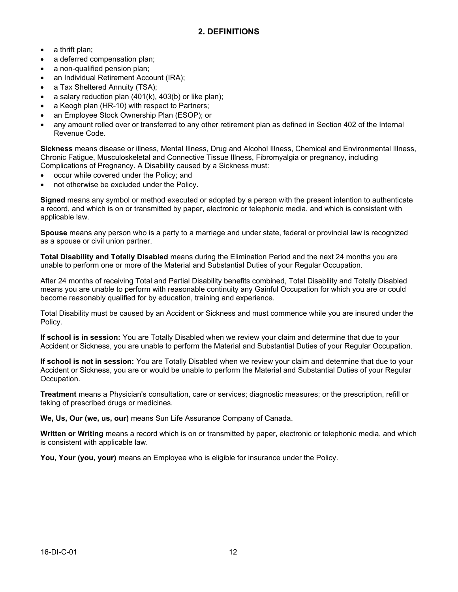- a thrift plan;
- a deferred compensation plan:
- a non-qualified pension plan;
- an Individual Retirement Account (IRA);
- a Tax Sheltered Annuity (TSA);
- a salary reduction plan  $(401(k), 403(b))$  or like plan);
- a Keogh plan (HR-10) with respect to Partners;
- an Employee Stock Ownership Plan (ESOP); or
- any amount rolled over or transferred to any other retirement plan as defined in Section 402 of the Internal Revenue Code.

**Sickness** means disease or illness, Mental Illness, Drug and Alcohol Illness, Chemical and Environmental Illness, Chronic Fatigue, Musculoskeletal and Connective Tissue Illness, Fibromyalgia or pregnancy, including Complications of Pregnancy. A Disability caused by a Sickness must:

- occur while covered under the Policy; and
- not otherwise be excluded under the Policy.

**Signed** means any symbol or method executed or adopted by a person with the present intention to authenticate a record, and which is on or transmitted by paper, electronic or telephonic media, and which is consistent with applicable law.

**Spouse** means any person who is a party to a marriage and under state, federal or provincial law is recognized as a spouse or civil union partner.

**Total Disability and Totally Disabled** means during the Elimination Period and the next 24 months you are unable to perform one or more of the Material and Substantial Duties of your Regular Occupation.

After 24 months of receiving Total and Partial Disability benefits combined, Total Disability and Totally Disabled means you are unable to perform with reasonable continuity any Gainful Occupation for which you are or could become reasonably qualified for by education, training and experience.

Total Disability must be caused by an Accident or Sickness and must commence while you are insured under the Policy.

**If school is in session:** You are Totally Disabled when we review your claim and determine that due to your Accident or Sickness, you are unable to perform the Material and Substantial Duties of your Regular Occupation.

**If school is not in session:** You are Totally Disabled when we review your claim and determine that due to your Accident or Sickness, you are or would be unable to perform the Material and Substantial Duties of your Regular Occupation.

**Treatment** means a Physician's consultation, care or services; diagnostic measures; or the prescription, refill or taking of prescribed drugs or medicines.

**We, Us, Our (we, us, our)** means Sun Life Assurance Company of Canada.

**Written or Writing** means a record which is on or transmitted by paper, electronic or telephonic media, and which is consistent with applicable law.

**You, Your (you, your)** means an Employee who is eligible for insurance under the Policy.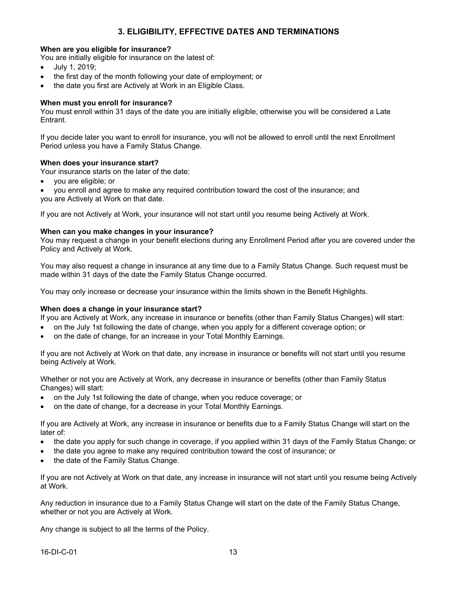### **When are you eligible for insurance?**

You are initially eligible for insurance on the latest of:

- · July 1, 2019;
- · the first day of the month following your date of employment; or
- the date you first are Actively at Work in an Eligible Class.

#### **When must you enroll for insurance?**

You must enroll within 31 days of the date you are initially eligible, otherwise you will be considered a Late Entrant.

If you decide later you want to enroll for insurance, you will not be allowed to enroll until the next Enrollment Period unless you have a Family Status Change.

#### **When does your insurance start?**

Your insurance starts on the later of the date:

- · you are eligible; or
- · you enroll and agree to make any required contribution toward the cost of the insurance; and you are Actively at Work on that date.

If you are not Actively at Work, your insurance will not start until you resume being Actively at Work.

#### **When can you make changes in your insurance?**

You may request a change in your benefit elections during any Enrollment Period after you are covered under the Policy and Actively at Work.

You may also request a change in insurance at any time due to a Family Status Change. Such request must be made within 31 days of the date the Family Status Change occurred.

You may only increase or decrease your insurance within the limits shown in the Benefit Highlights.

#### **When does a change in your insurance start?**

If you are Actively at Work, any increase in insurance or benefits (other than Family Status Changes) will start:

- · on the July 1st following the date of change, when you apply for a different coverage option; or
- on the date of change, for an increase in your Total Monthly Earnings.

If you are not Actively at Work on that date, any increase in insurance or benefits will not start until you resume being Actively at Work.

Whether or not you are Actively at Work, any decrease in insurance or benefits (other than Family Status Changes) will start:

- on the July 1st following the date of change, when you reduce coverage; or
- on the date of change, for a decrease in your Total Monthly Earnings.

If you are Actively at Work, any increase in insurance or benefits due to a Family Status Change will start on the later of:

- · the date you apply for such change in coverage, if you applied within 31 days of the Family Status Change; or
- · the date you agree to make any required contribution toward the cost of insurance; or
- the date of the Family Status Change.

If you are not Actively at Work on that date, any increase in insurance will not start until you resume being Actively at Work.

Any reduction in insurance due to a Family Status Change will start on the date of the Family Status Change, whether or not you are Actively at Work.

Any change is subject to all the terms of the Policy.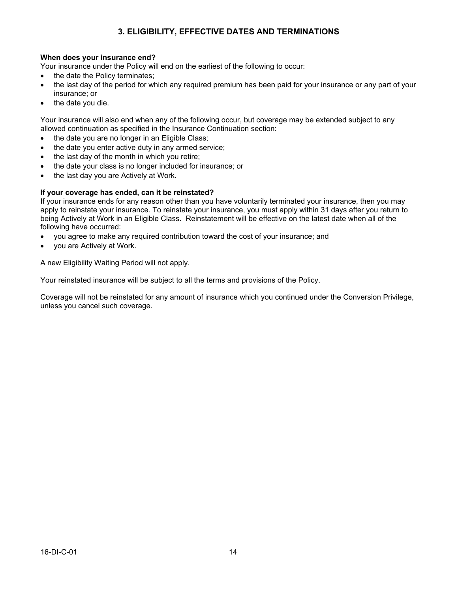### **3. ELIGIBILITY, EFFECTIVE DATES AND TERMINATIONS**

#### **When does your insurance end?**

Your insurance under the Policy will end on the earliest of the following to occur:

- the date the Policy terminates;
- the last day of the period for which any required premium has been paid for your insurance or any part of your insurance; or
- the date you die.

Your insurance will also end when any of the following occur, but coverage may be extended subject to any allowed continuation as specified in the Insurance Continuation section:

- the date you are no longer in an Eligible Class;
- the date you enter active duty in any armed service;
- the last day of the month in which you retire;
- the date your class is no longer included for insurance; or
- the last day you are Actively at Work.

#### **If your coverage has ended, can it be reinstated?**

If your insurance ends for any reason other than you have voluntarily terminated your insurance, then you may apply to reinstate your insurance. To reinstate your insurance, you must apply within 31 days after you return to being Actively at Work in an Eligible Class. Reinstatement will be effective on the latest date when all of the following have occurred:

- · you agree to make any required contribution toward the cost of your insurance; and
- you are Actively at Work.

A new Eligibility Waiting Period will not apply.

Your reinstated insurance will be subject to all the terms and provisions of the Policy.

Coverage will not be reinstated for any amount of insurance which you continued under the Conversion Privilege, unless you cancel such coverage.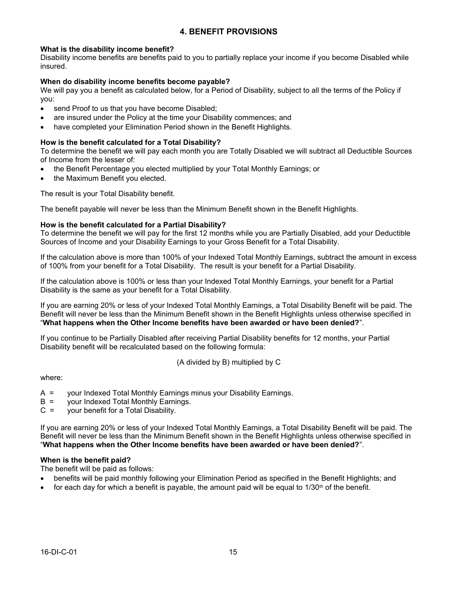### **4. BENEFIT PROVISIONS**

#### **What is the disability income benefit?**

Disability income benefits are benefits paid to you to partially replace your income if you become Disabled while insured.

#### **When do disability income benefits become payable?**

We will pay you a benefit as calculated below, for a Period of Disability, subject to all the terms of the Policy if you:

- send Proof to us that you have become Disabled;
- are insured under the Policy at the time your Disability commences; and
- have completed your Elimination Period shown in the Benefit Highlights.

#### **How is the benefit calculated for a Total Disability?**

To determine the benefit we will pay each month you are Totally Disabled we will subtract all Deductible Sources of Income from the lesser of:

- the Benefit Percentage you elected multiplied by your Total Monthly Earnings; or
- the Maximum Benefit you elected.

The result is your Total Disability benefit.

The benefit payable will never be less than the Minimum Benefit shown in the Benefit Highlights.

#### **How is the benefit calculated for a Partial Disability?**

To determine the benefit we will pay for the first 12 months while you are Partially Disabled, add your Deductible Sources of Income and your Disability Earnings to your Gross Benefit for a Total Disability.

If the calculation above is more than 100% of your Indexed Total Monthly Earnings, subtract the amount in excess of 100% from your benefit for a Total Disability. The result is your benefit for a Partial Disability.

If the calculation above is 100% or less than your Indexed Total Monthly Earnings, your benefit for a Partial Disability is the same as your benefit for a Total Disability.

If you are earning 20% or less of your Indexed Total Monthly Earnings, a Total Disability Benefit will be paid. The Benefit will never be less than the Minimum Benefit shown in the Benefit Highlights unless otherwise specified in "**What happens when the Other Income benefits have been awarded or have been denied?**".

If you continue to be Partially Disabled after receiving Partial Disability benefits for 12 months, your Partial Disability benefit will be recalculated based on the following formula:

(A divided by B) multiplied by C

where:

- A = your Indexed Total Monthly Earnings minus your Disability Earnings.
- B = your Indexed Total Monthly Earnings.
- C = your benefit for a Total Disability.

If you are earning 20% or less of your Indexed Total Monthly Earnings, a Total Disability Benefit will be paid. The Benefit will never be less than the Minimum Benefit shown in the Benefit Highlights unless otherwise specified in "**What happens when the Other Income benefits have been awarded or have been denied?**".

#### **When is the benefit paid?**

The benefit will be paid as follows:

- · benefits will be paid monthly following your Elimination Period as specified in the Benefit Highlights; and
- for each day for which a benefit is payable, the amount paid will be equal to  $1/30<sup>th</sup>$  of the benefit.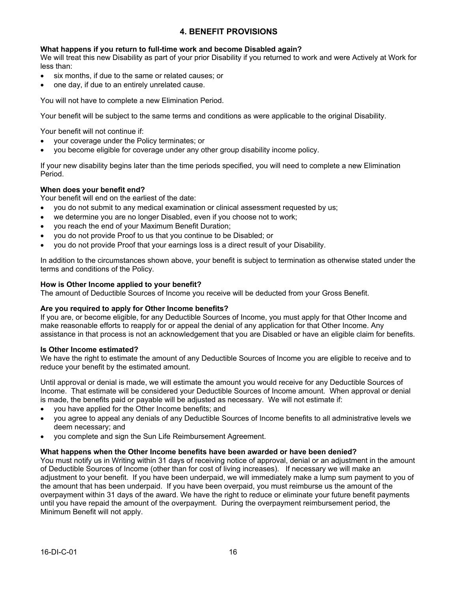### **4. BENEFIT PROVISIONS**

#### **What happens if you return to full-time work and become Disabled again?**

We will treat this new Disability as part of your prior Disability if you returned to work and were Actively at Work for less than:

- · six months, if due to the same or related causes; or
- · one day, if due to an entirely unrelated cause.

You will not have to complete a new Elimination Period.

Your benefit will be subject to the same terms and conditions as were applicable to the original Disability.

Your benefit will not continue if:

- · your coverage under the Policy terminates; or
- · you become eligible for coverage under any other group disability income policy.

If your new disability begins later than the time periods specified, you will need to complete a new Elimination Period.

#### **When does your benefit end?**

Your benefit will end on the earliest of the date:

- · you do not submit to any medical examination or clinical assessment requested by us;
- we determine you are no longer Disabled, even if you choose not to work;
- you reach the end of your Maximum Benefit Duration;
- · you do not provide Proof to us that you continue to be Disabled; or
- · you do not provide Proof that your earnings loss is a direct result of your Disability.

In addition to the circumstances shown above, your benefit is subject to termination as otherwise stated under the terms and conditions of the Policy.

#### **How is Other Income applied to your benefit?**

The amount of Deductible Sources of Income you receive will be deducted from your Gross Benefit.

#### **Are you required to apply for Other Income benefits?**

If you are, or become eligible, for any Deductible Sources of Income, you must apply for that Other Income and make reasonable efforts to reapply for or appeal the denial of any application for that Other Income. Any assistance in that process is not an acknowledgement that you are Disabled or have an eligible claim for benefits.

#### **Is Other Income estimated?**

We have the right to estimate the amount of any Deductible Sources of Income you are eligible to receive and to reduce your benefit by the estimated amount.

Until approval or denial is made, we will estimate the amount you would receive for any Deductible Sources of Income. That estimate will be considered your Deductible Sources of Income amount. When approval or denial is made, the benefits paid or payable will be adjusted as necessary. We will not estimate if:

- you have applied for the Other Income benefits; and
- · you agree to appeal any denials of any Deductible Sources of Income benefits to all administrative levels we deem necessary; and
- you complete and sign the Sun Life Reimbursement Agreement.

#### **What happens when the Other Income benefits have been awarded or have been denied?**

You must notify us in Writing within 31 days of receiving notice of approval, denial or an adjustment in the amount of Deductible Sources of Income (other than for cost of living increases). If necessary we will make an adjustment to your benefit. If you have been underpaid, we will immediately make a lump sum payment to you of the amount that has been underpaid. If you have been overpaid, you must reimburse us the amount of the overpayment within 31 days of the award. We have the right to reduce or eliminate your future benefit payments until you have repaid the amount of the overpayment. During the overpayment reimbursement period, the Minimum Benefit will not apply.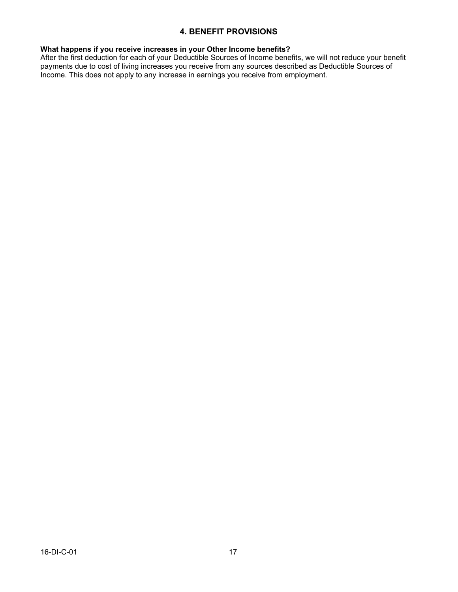### **4. BENEFIT PROVISIONS**

#### **What happens if you receive increases in your Other Income benefits?**

After the first deduction for each of your Deductible Sources of Income benefits, we will not reduce your benefit payments due to cost of living increases you receive from any sources described as Deductible Sources of Income. This does not apply to any increase in earnings you receive from employment.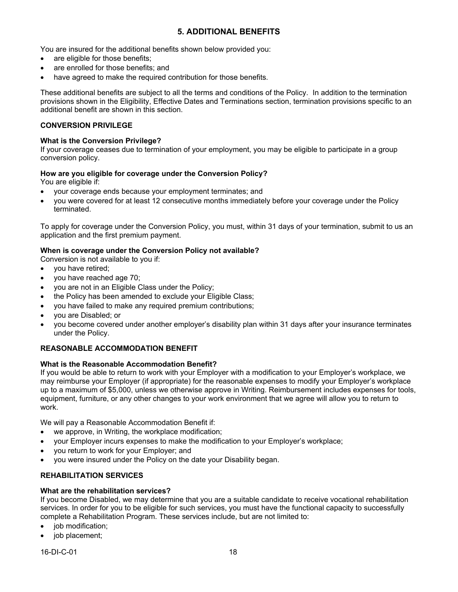### **5. ADDITIONAL BENEFITS**

You are insured for the additional benefits shown below provided you:

- are eligible for those benefits;
- are enrolled for those benefits; and
- have agreed to make the required contribution for those benefits.

These additional benefits are subject to all the terms and conditions of the Policy. In addition to the termination provisions shown in the Eligibility, Effective Dates and Terminations section, termination provisions specific to an additional benefit are shown in this section.

#### **CONVERSION PRIVILEGE**

#### **What is the Conversion Privilege?**

If your coverage ceases due to termination of your employment, you may be eligible to participate in a group conversion policy.

#### **How are you eligible for coverage under the Conversion Policy?**

You are eligible if:

- your coverage ends because your employment terminates; and
- · you were covered for at least 12 consecutive months immediately before your coverage under the Policy terminated.

To apply for coverage under the Conversion Policy, you must, within 31 days of your termination, submit to us an application and the first premium payment.

#### **When is coverage under the Conversion Policy not available?**

Conversion is not available to you if:

- · you have retired;
- you have reached age 70;
- you are not in an Eligible Class under the Policy;
- the Policy has been amended to exclude your Eligible Class;
- · you have failed to make any required premium contributions;
- · you are Disabled; or
- · you become covered under another employer's disability plan within 31 days after your insurance terminates under the Policy.

#### **REASONABLE ACCOMMODATION BENEFIT**

#### **What is the Reasonable Accommodation Benefit?**

If you would be able to return to work with your Employer with a modification to your Employer's workplace, we may reimburse your Employer (if appropriate) for the reasonable expenses to modify your Employer's workplace up to a maximum of \$5,000, unless we otherwise approve in Writing. Reimbursement includes expenses for tools, equipment, furniture, or any other changes to your work environment that we agree will allow you to return to work.

We will pay a Reasonable Accommodation Benefit if:

- we approve, in Writing, the workplace modification;
- · your Employer incurs expenses to make the modification to your Employer's workplace;
- · you return to work for your Employer; and
- you were insured under the Policy on the date your Disability began.

#### **REHABILITATION SERVICES**

#### **What are the rehabilitation services?**

If you become Disabled, we may determine that you are a suitable candidate to receive vocational rehabilitation services. In order for you to be eligible for such services, you must have the functional capacity to successfully complete a Rehabilitation Program. These services include, but are not limited to:

- job modification;
- job placement;

16-DI-C-01 18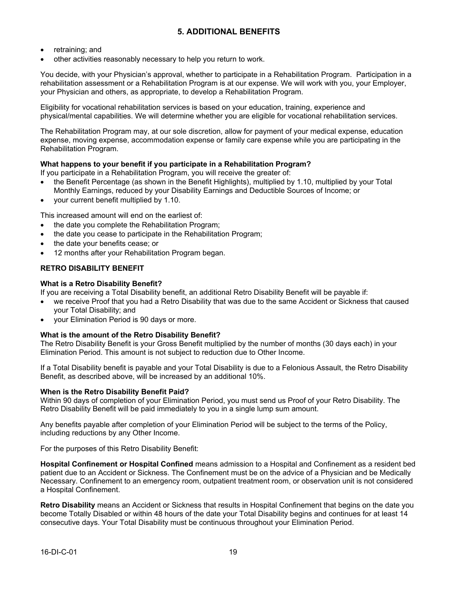### **5. ADDITIONAL BENEFITS**

- retraining; and
- other activities reasonably necessary to help you return to work.

You decide, with your Physician's approval, whether to participate in a Rehabilitation Program. Participation in a rehabilitation assessment or a Rehabilitation Program is at our expense. We will work with you, your Employer, your Physician and others, as appropriate, to develop a Rehabilitation Program.

Eligibility for vocational rehabilitation services is based on your education, training, experience and physical/mental capabilities. We will determine whether you are eligible for vocational rehabilitation services.

The Rehabilitation Program may, at our sole discretion, allow for payment of your medical expense, education expense, moving expense, accommodation expense or family care expense while you are participating in the Rehabilitation Program.

#### **What happens to your benefit if you participate in a Rehabilitation Program?**

If you participate in a Rehabilitation Program, you will receive the greater of:

- · the Benefit Percentage (as shown in the Benefit Highlights), multiplied by 1.10, multiplied by your Total Monthly Earnings, reduced by your Disability Earnings and Deductible Sources of Income; or
- · your current benefit multiplied by 1.10.

This increased amount will end on the earliest of:

- the date you complete the Rehabilitation Program;
- the date you cease to participate in the Rehabilitation Program;
- the date your benefits cease; or
- 12 months after your Rehabilitation Program began.

#### **RETRO DISABILITY BENEFIT**

#### **What is a Retro Disability Benefit?**

If you are receiving a Total Disability benefit, an additional Retro Disability Benefit will be payable if:

- · we receive Proof that you had a Retro Disability that was due to the same Accident or Sickness that caused your Total Disability; and
- · your Elimination Period is 90 days or more.

#### **What is the amount of the Retro Disability Benefit?**

The Retro Disability Benefit is your Gross Benefit multiplied by the number of months (30 days each) in your Elimination Period. This amount is not subject to reduction due to Other Income.

If a Total Disability benefit is payable and your Total Disability is due to a Felonious Assault, the Retro Disability Benefit, as described above, will be increased by an additional 10%.

#### **When is the Retro Disability Benefit Paid?**

Within 90 days of completion of your Elimination Period, you must send us Proof of your Retro Disability. The Retro Disability Benefit will be paid immediately to you in a single lump sum amount.

Any benefits payable after completion of your Elimination Period will be subject to the terms of the Policy, including reductions by any Other Income.

For the purposes of this Retro Disability Benefit:

**Hospital Confinement or Hospital Confined** means admission to a Hospital and Confinement as a resident bed patient due to an Accident or Sickness. The Confinement must be on the advice of a Physician and be Medically Necessary. Confinement to an emergency room, outpatient treatment room, or observation unit is not considered a Hospital Confinement.

**Retro Disability** means an Accident or Sickness that results in Hospital Confinement that begins on the date you become Totally Disabled or within 48 hours of the date your Total Disability begins and continues for at least 14 consecutive days. Your Total Disability must be continuous throughout your Elimination Period.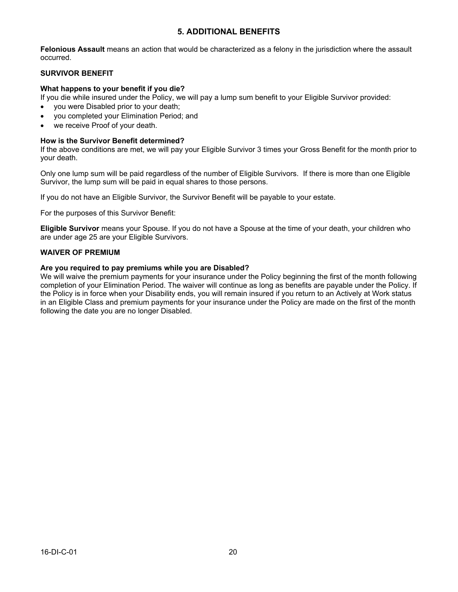### **5. ADDITIONAL BENEFITS**

**Felonious Assault** means an action that would be characterized as a felony in the jurisdiction where the assault occurred.

#### **SURVIVOR BENEFIT**

#### **What happens to your benefit if you die?**

If you die while insured under the Policy, we will pay a lump sum benefit to your Eligible Survivor provided:

- you were Disabled prior to your death;
- · you completed your Elimination Period; and
- we receive Proof of your death.

#### **How is the Survivor Benefit determined?**

If the above conditions are met, we will pay your Eligible Survivor 3 times your Gross Benefit for the month prior to your death.

Only one lump sum will be paid regardless of the number of Eligible Survivors. If there is more than one Eligible Survivor, the lump sum will be paid in equal shares to those persons.

If you do not have an Eligible Survivor, the Survivor Benefit will be payable to your estate.

For the purposes of this Survivor Benefit:

**Eligible Survivor** means your Spouse. If you do not have a Spouse at the time of your death, your children who are under age 25 are your Eligible Survivors.

#### **WAIVER OF PREMIUM**

#### **Are you required to pay premiums while you are Disabled?**

We will waive the premium payments for your insurance under the Policy beginning the first of the month following completion of your Elimination Period. The waiver will continue as long as benefits are payable under the Policy. If the Policy is in force when your Disability ends, you will remain insured if you return to an Actively at Work status in an Eligible Class and premium payments for your insurance under the Policy are made on the first of the month following the date you are no longer Disabled.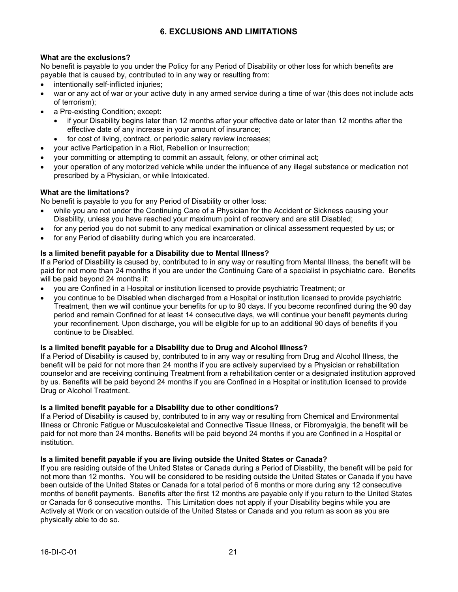### **6. EXCLUSIONS AND LIMITATIONS**

#### **What are the exclusions?**

No benefit is payable to you under the Policy for any Period of Disability or other loss for which benefits are payable that is caused by, contributed to in any way or resulting from:

- intentionally self-inflicted injuries;
- war or any act of war or your active duty in any armed service during a time of war (this does not include acts of terrorism);
- a Pre-existing Condition; except:
	- · if your Disability begins later than 12 months after your effective date or later than 12 months after the effective date of any increase in your amount of insurance;
	- for cost of living, contract, or periodic salary review increases;
- · your active Participation in a Riot, Rebellion or Insurrection;
- · your committing or attempting to commit an assault, felony, or other criminal act;
- · your operation of any motorized vehicle while under the influence of any illegal substance or medication not prescribed by a Physician, or while Intoxicated.

#### **What are the limitations?**

No benefit is payable to you for any Period of Disability or other loss:

- while you are not under the Continuing Care of a Physician for the Accident or Sickness causing your Disability, unless you have reached your maximum point of recovery and are still Disabled;
- for any period you do not submit to any medical examination or clinical assessment requested by us; or
- for any Period of disability during which you are incarcerated.

#### **Is a limited benefit payable for a Disability due to Mental Illness?**

If a Period of Disability is caused by, contributed to in any way or resulting from Mental Illness, the benefit will be paid for not more than 24 months if you are under the Continuing Care of a specialist in psychiatric care. Benefits will be paid beyond 24 months if:

- · you are Confined in a Hospital or institution licensed to provide psychiatric Treatment; or
- · you continue to be Disabled when discharged from a Hospital or institution licensed to provide psychiatric Treatment, then we will continue your benefits for up to 90 days. If you become reconfined during the 90 day period and remain Confined for at least 14 consecutive days, we will continue your benefit payments during your reconfinement. Upon discharge, you will be eligible for up to an additional 90 days of benefits if you continue to be Disabled.

#### **Is a limited benefit payable for a Disability due to Drug and Alcohol Illness?**

If a Period of Disability is caused by, contributed to in any way or resulting from Drug and Alcohol Illness, the benefit will be paid for not more than 24 months if you are actively supervised by a Physician or rehabilitation counselor and are receiving continuing Treatment from a rehabilitation center or a designated institution approved by us. Benefits will be paid beyond 24 months if you are Confined in a Hospital or institution licensed to provide Drug or Alcohol Treatment.

#### **Is a limited benefit payable for a Disability due to other conditions?**

If a Period of Disability is caused by, contributed to in any way or resulting from Chemical and Environmental Illness or Chronic Fatigue or Musculoskeletal and Connective Tissue Illness, or Fibromyalgia, the benefit will be paid for not more than 24 months. Benefits will be paid beyond 24 months if you are Confined in a Hospital or institution.

#### **Is a limited benefit payable if you are living outside the United States or Canada?**

If you are residing outside of the United States or Canada during a Period of Disability, the benefit will be paid for not more than 12 months. You will be considered to be residing outside the United States or Canada if you have been outside of the United States or Canada for a total period of 6 months or more during any 12 consecutive months of benefit payments. Benefits after the first 12 months are payable only if you return to the United States or Canada for 6 consecutive months. This Limitation does not apply if your Disability begins while you are Actively at Work or on vacation outside of the United States or Canada and you return as soon as you are physically able to do so.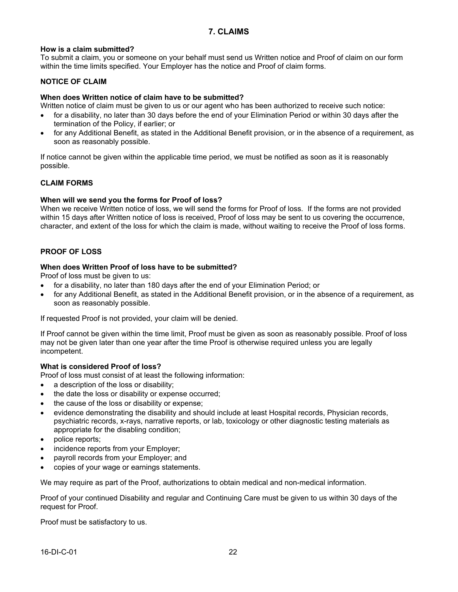### **7. CLAIMS**

#### **How is a claim submitted?**

To submit a claim, you or someone on your behalf must send us Written notice and Proof of claim on our form within the time limits specified. Your Employer has the notice and Proof of claim forms.

#### **NOTICE OF CLAIM**

#### **When does Written notice of claim have to be submitted?**

Written notice of claim must be given to us or our agent who has been authorized to receive such notice:

- for a disability, no later than 30 days before the end of your Elimination Period or within 30 days after the termination of the Policy, if earlier; or
- · for any Additional Benefit, as stated in the Additional Benefit provision, or in the absence of a requirement, as soon as reasonably possible.

If notice cannot be given within the applicable time period, we must be notified as soon as it is reasonably possible.

#### **CLAIM FORMS**

#### **When will we send you the forms for Proof of loss?**

When we receive Written notice of loss, we will send the forms for Proof of loss. If the forms are not provided within 15 days after Written notice of loss is received, Proof of loss may be sent to us covering the occurrence, character, and extent of the loss for which the claim is made, without waiting to receive the Proof of loss forms.

#### **PROOF OF LOSS**

#### **When does Written Proof of loss have to be submitted?**

Proof of loss must be given to us:

- for a disability, no later than 180 days after the end of your Elimination Period; or
- · for any Additional Benefit, as stated in the Additional Benefit provision, or in the absence of a requirement, as soon as reasonably possible.

If requested Proof is not provided, your claim will be denied.

If Proof cannot be given within the time limit, Proof must be given as soon as reasonably possible. Proof of loss may not be given later than one year after the time Proof is otherwise required unless you are legally incompetent.

#### **What is considered Proof of loss?**

Proof of loss must consist of at least the following information:

- a description of the loss or disability:
- the date the loss or disability or expense occurred;
- the cause of the loss or disability or expense;
- evidence demonstrating the disability and should include at least Hospital records. Physician records, psychiatric records, x-rays, narrative reports, or lab, toxicology or other diagnostic testing materials as appropriate for the disabling condition;
- police reports;
- incidence reports from your Employer;
- payroll records from your Employer; and
- · copies of your wage or earnings statements.

We may require as part of the Proof, authorizations to obtain medical and non-medical information.

Proof of your continued Disability and regular and Continuing Care must be given to us within 30 days of the request for Proof.

Proof must be satisfactory to us.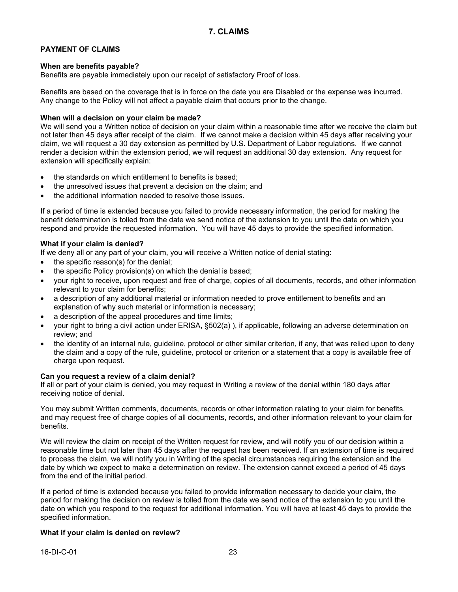### **PAYMENT OF CLAIMS**

#### **When are benefits payable?**

Benefits are payable immediately upon our receipt of satisfactory Proof of loss.

Benefits are based on the coverage that is in force on the date you are Disabled or the expense was incurred. Any change to the Policy will not affect a payable claim that occurs prior to the change.

#### **When will a decision on your claim be made?**

We will send you a Written notice of decision on your claim within a reasonable time after we receive the claim but not later than 45 days after receipt of the claim. If we cannot make a decision within 45 days after receiving your claim, we will request a 30 day extension as permitted by U.S. Department of Labor regulations. If we cannot render a decision within the extension period, we will request an additional 30 day extension. Any request for extension will specifically explain:

- · the standards on which entitlement to benefits is based;
- the unresolved issues that prevent a decision on the claim; and
- · the additional information needed to resolve those issues.

If a period of time is extended because you failed to provide necessary information, the period for making the benefit determination is tolled from the date we send notice of the extension to you until the date on which you respond and provide the requested information. You will have 45 days to provide the specified information.

#### **What if your claim is denied?**

If we deny all or any part of your claim, you will receive a Written notice of denial stating:

- the specific reason(s) for the denial;
- the specific Policy provision(s) on which the denial is based;
- · your right to receive, upon request and free of charge, copies of all documents, records, and other information relevant to your claim for benefits;
- a description of any additional material or information needed to prove entitlement to benefits and an explanation of why such material or information is necessary;
- a description of the appeal procedures and time limits;
- · your right to bring a civil action under ERISA, §502(a) ), if applicable, following an adverse determination on review; and
- · the identity of an internal rule, guideline, protocol or other similar criterion, if any, that was relied upon to deny the claim and a copy of the rule, guideline, protocol or criterion or a statement that a copy is available free of charge upon request.

#### **Can you request a review of a claim denial?**

If all or part of your claim is denied, you may request in Writing a review of the denial within 180 days after receiving notice of denial.

You may submit Written comments, documents, records or other information relating to your claim for benefits, and may request free of charge copies of all documents, records, and other information relevant to your claim for benefits.

We will review the claim on receipt of the Written request for review, and will notify you of our decision within a reasonable time but not later than 45 days after the request has been received. If an extension of time is required to process the claim, we will notify you in Writing of the special circumstances requiring the extension and the date by which we expect to make a determination on review. The extension cannot exceed a period of 45 days from the end of the initial period.

If a period of time is extended because you failed to provide information necessary to decide your claim, the period for making the decision on review is tolled from the date we send notice of the extension to you until the date on which you respond to the request for additional information. You will have at least 45 days to provide the specified information.

#### **What if your claim is denied on review?**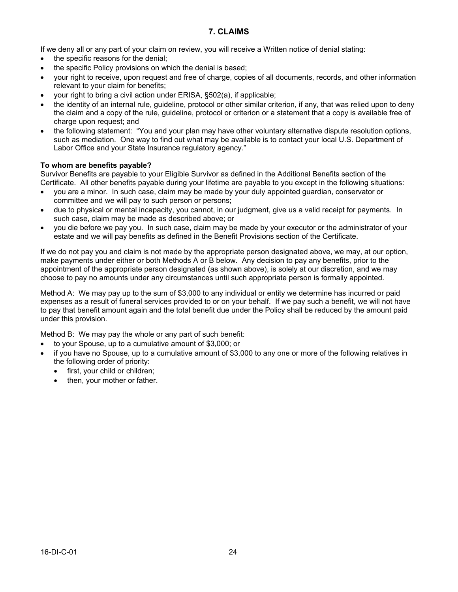### **7. CLAIMS**

If we deny all or any part of your claim on review, you will receive a Written notice of denial stating:

- the specific reasons for the denial;
- the specific Policy provisions on which the denial is based;
- · your right to receive, upon request and free of charge, copies of all documents, records, and other information relevant to your claim for benefits;
- your right to bring a civil action under ERISA, §502(a), if applicable;
- · the identity of an internal rule, guideline, protocol or other similar criterion, if any, that was relied upon to deny the claim and a copy of the rule, guideline, protocol or criterion or a statement that a copy is available free of charge upon request; and
- · the following statement: "You and your plan may have other voluntary alternative dispute resolution options, such as mediation. One way to find out what may be available is to contact your local U.S. Department of Labor Office and your State Insurance regulatory agency."

#### **To whom are benefits payable?**

Survivor Benefits are payable to your Eligible Survivor as defined in the Additional Benefits section of the Certificate. All other benefits payable during your lifetime are payable to you except in the following situations:

- · you are a minor. In such case, claim may be made by your duly appointed guardian, conservator or committee and we will pay to such person or persons;
- due to physical or mental incapacity, you cannot, in our judgment, give us a valid receipt for payments. In such case, claim may be made as described above; or
- · you die before we pay you. In such case, claim may be made by your executor or the administrator of your estate and we will pay benefits as defined in the Benefit Provisions section of the Certificate.

If we do not pay you and claim is not made by the appropriate person designated above, we may, at our option, make payments under either or both Methods A or B below. Any decision to pay any benefits, prior to the appointment of the appropriate person designated (as shown above), is solely at our discretion, and we may choose to pay no amounts under any circumstances until such appropriate person is formally appointed.

Method A: We may pay up to the sum of \$3,000 to any individual or entity we determine has incurred or paid expenses as a result of funeral services provided to or on your behalf. If we pay such a benefit, we will not have to pay that benefit amount again and the total benefit due under the Policy shall be reduced by the amount paid under this provision.

Method B: We may pay the whole or any part of such benefit:

- · to your Spouse, up to a cumulative amount of \$3,000; or
- · if you have no Spouse, up to a cumulative amount of \$3,000 to any one or more of the following relatives in the following order of priority:
	- first, your child or children;
	- then, your mother or father.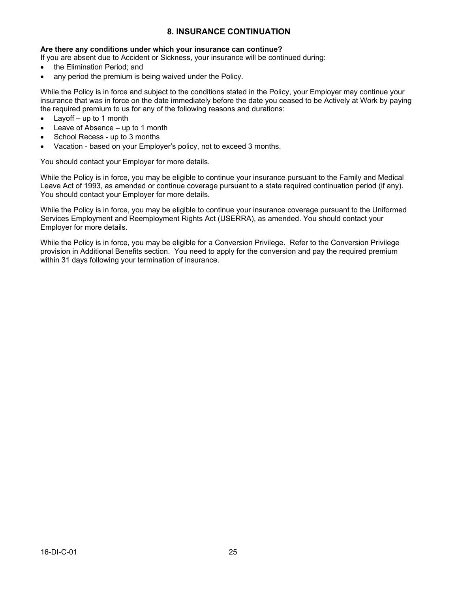### **8. INSURANCE CONTINUATION**

#### **Are there any conditions under which your insurance can continue?**

If you are absent due to Accident or Sickness, your insurance will be continued during:

- the Elimination Period: and
- any period the premium is being waived under the Policy.

While the Policy is in force and subject to the conditions stated in the Policy, your Employer may continue your insurance that was in force on the date immediately before the date you ceased to be Actively at Work by paying the required premium to us for any of the following reasons and durations:

- Layoff  $-$  up to 1 month
- Leave of Absence up to 1 month
- School Recess up to 3 months
- Vacation based on your Employer's policy, not to exceed 3 months.

You should contact your Employer for more details.

While the Policy is in force, you may be eligible to continue your insurance pursuant to the Family and Medical Leave Act of 1993, as amended or continue coverage pursuant to a state required continuation period (if any). You should contact your Employer for more details.

While the Policy is in force, you may be eligible to continue your insurance coverage pursuant to the Uniformed Services Employment and Reemployment Rights Act (USERRA), as amended. You should contact your Employer for more details.

While the Policy is in force, you may be eligible for a Conversion Privilege. Refer to the Conversion Privilege provision in Additional Benefits section. You need to apply for the conversion and pay the required premium within 31 days following your termination of insurance.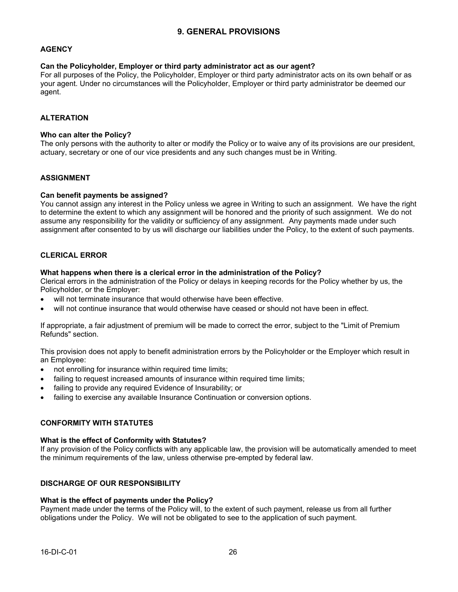### **9. GENERAL PROVISIONS**

#### **AGENCY**

#### **Can the Policyholder, Employer or third party administrator act as our agent?**

For all purposes of the Policy, the Policyholder, Employer or third party administrator acts on its own behalf or as your agent. Under no circumstances will the Policyholder, Employer or third party administrator be deemed our agent.

#### **ALTERATION**

#### **Who can alter the Policy?**

The only persons with the authority to alter or modify the Policy or to waive any of its provisions are our president, actuary, secretary or one of our vice presidents and any such changes must be in Writing.

#### **ASSIGNMENT**

#### **Can benefit payments be assigned?**

You cannot assign any interest in the Policy unless we agree in Writing to such an assignment. We have the right to determine the extent to which any assignment will be honored and the priority of such assignment. We do not assume any responsibility for the validity or sufficiency of any assignment. Any payments made under such assignment after consented to by us will discharge our liabilities under the Policy, to the extent of such payments.

#### **CLERICAL ERROR**

#### **What happens when there is a clerical error in the administration of the Policy?**

Clerical errors in the administration of the Policy or delays in keeping records for the Policy whether by us, the Policyholder, or the Employer:

- will not terminate insurance that would otherwise have been effective.
- will not continue insurance that would otherwise have ceased or should not have been in effect.

If appropriate, a fair adjustment of premium will be made to correct the error, subject to the "Limit of Premium Refunds" section.

This provision does not apply to benefit administration errors by the Policyholder or the Employer which result in an Employee:

- not enrolling for insurance within required time limits;
- failing to request increased amounts of insurance within required time limits;
- failing to provide any required Evidence of Insurability; or
- failing to exercise any available Insurance Continuation or conversion options.

#### **CONFORMITY WITH STATUTES**

#### **What is the effect of Conformity with Statutes?**

If any provision of the Policy conflicts with any applicable law, the provision will be automatically amended to meet the minimum requirements of the law, unless otherwise pre-empted by federal law.

#### **DISCHARGE OF OUR RESPONSIBILITY**

#### **What is the effect of payments under the Policy?**

Payment made under the terms of the Policy will, to the extent of such payment, release us from all further obligations under the Policy. We will not be obligated to see to the application of such payment.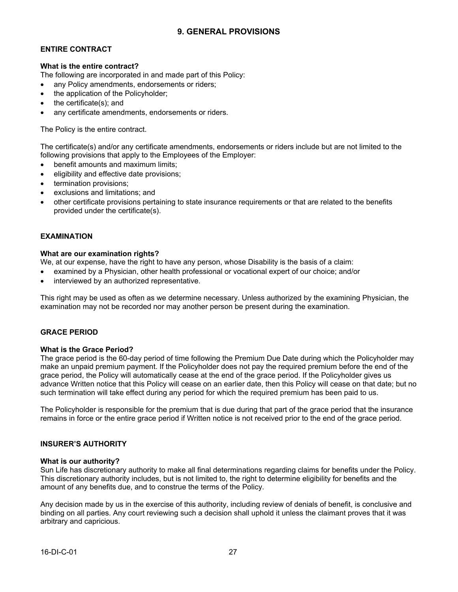### **9. GENERAL PROVISIONS**

### **ENTIRE CONTRACT**

#### **What is the entire contract?**

The following are incorporated in and made part of this Policy:

- any Policy amendments, endorsements or riders;
- the application of the Policyholder;
- the certificate(s); and
- any certificate amendments, endorsements or riders.

The Policy is the entire contract.

The certificate(s) and/or any certificate amendments, endorsements or riders include but are not limited to the following provisions that apply to the Employees of the Employer:

- benefit amounts and maximum limits;
- eligibility and effective date provisions:
- termination provisions;
- exclusions and limitations; and
- · other certificate provisions pertaining to state insurance requirements or that are related to the benefits provided under the certificate(s).

#### **EXAMINATION**

#### **What are our examination rights?**

We, at our expense, have the right to have any person, whose Disability is the basis of a claim:

- examined by a Physician, other health professional or vocational expert of our choice; and/or
- · interviewed by an authorized representative.

This right may be used as often as we determine necessary. Unless authorized by the examining Physician, the examination may not be recorded nor may another person be present during the examination.

#### **GRACE PERIOD**

#### **What is the Grace Period?**

The grace period is the 60-day period of time following the Premium Due Date during which the Policyholder may make an unpaid premium payment. If the Policyholder does not pay the required premium before the end of the grace period, the Policy will automatically cease at the end of the grace period. If the Policyholder gives us advance Written notice that this Policy will cease on an earlier date, then this Policy will cease on that date; but no such termination will take effect during any period for which the required premium has been paid to us.

The Policyholder is responsible for the premium that is due during that part of the grace period that the insurance remains in force or the entire grace period if Written notice is not received prior to the end of the grace period.

#### **INSURER'S AUTHORITY**

#### **What is our authority?**

Sun Life has discretionary authority to make all final determinations regarding claims for benefits under the Policy. This discretionary authority includes, but is not limited to, the right to determine eligibility for benefits and the amount of any benefits due, and to construe the terms of the Policy.

Any decision made by us in the exercise of this authority, including review of denials of benefit, is conclusive and binding on all parties. Any court reviewing such a decision shall uphold it unless the claimant proves that it was arbitrary and capricious.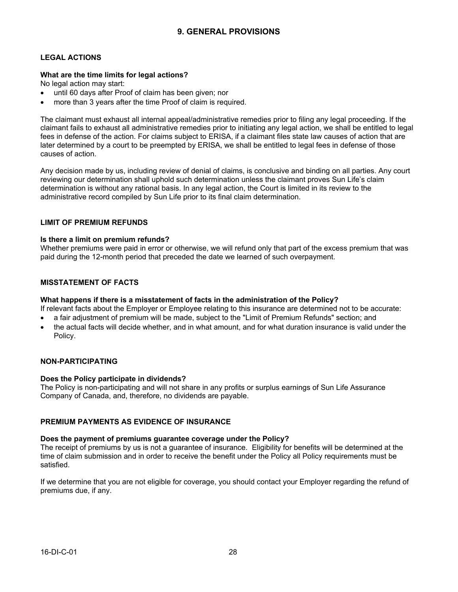### **LEGAL ACTIONS**

#### **What are the time limits for legal actions?**

No legal action may start:

- until 60 days after Proof of claim has been given: nor
- more than 3 years after the time Proof of claim is required.

The claimant must exhaust all internal appeal/administrative remedies prior to filing any legal proceeding. If the claimant fails to exhaust all administrative remedies prior to initiating any legal action, we shall be entitled to legal fees in defense of the action. For claims subject to ERISA, if a claimant files state law causes of action that are later determined by a court to be preempted by ERISA, we shall be entitled to legal fees in defense of those causes of action.

Any decision made by us, including review of denial of claims, is conclusive and binding on all parties. Any court reviewing our determination shall uphold such determination unless the claimant proves Sun Life's claim determination is without any rational basis. In any legal action, the Court is limited in its review to the administrative record compiled by Sun Life prior to its final claim determination.

### **LIMIT OF PREMIUM REFUNDS**

#### **Is there a limit on premium refunds?**

Whether premiums were paid in error or otherwise, we will refund only that part of the excess premium that was paid during the 12-month period that preceded the date we learned of such overpayment.

#### **MISSTATEMENT OF FACTS**

#### **What happens if there is a misstatement of facts in the administration of the Policy?**

If relevant facts about the Employer or Employee relating to this insurance are determined not to be accurate:

- a fair adjustment of premium will be made, subject to the "Limit of Premium Refunds" section; and
- · the actual facts will decide whether, and in what amount, and for what duration insurance is valid under the Policy.

#### **NON-PARTICIPATING**

#### **Does the Policy participate in dividends?**

The Policy is non-participating and will not share in any profits or surplus earnings of Sun Life Assurance Company of Canada, and, therefore, no dividends are payable.

#### **PREMIUM PAYMENTS AS EVIDENCE OF INSURANCE**

### **Does the payment of premiums guarantee coverage under the Policy?**

The receipt of premiums by us is not a guarantee of insurance. Eligibility for benefits will be determined at the time of claim submission and in order to receive the benefit under the Policy all Policy requirements must be satisfied.

If we determine that you are not eligible for coverage, you should contact your Employer regarding the refund of premiums due, if any.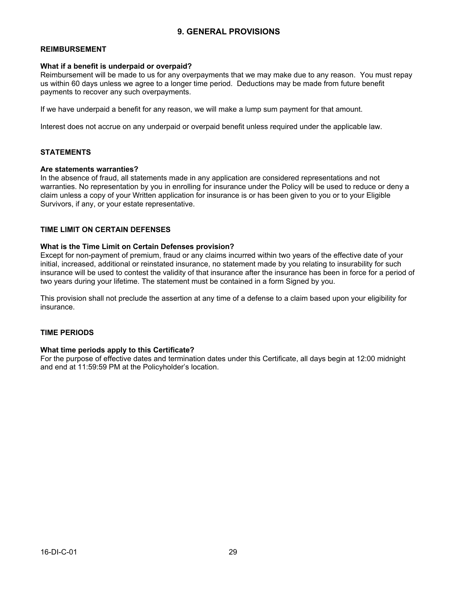### **9. GENERAL PROVISIONS**

#### **REIMBURSEMENT**

#### **What if a benefit is underpaid or overpaid?**

Reimbursement will be made to us for any overpayments that we may make due to any reason. You must repay us within 60 days unless we agree to a longer time period. Deductions may be made from future benefit payments to recover any such overpayments.

If we have underpaid a benefit for any reason, we will make a lump sum payment for that amount.

Interest does not accrue on any underpaid or overpaid benefit unless required under the applicable law.

#### **STATEMENTS**

#### **Are statements warranties?**

In the absence of fraud, all statements made in any application are considered representations and not warranties. No representation by you in enrolling for insurance under the Policy will be used to reduce or deny a claim unless a copy of your Written application for insurance is or has been given to you or to your Eligible Survivors, if any, or your estate representative.

#### **TIME LIMIT ON CERTAIN DEFENSES**

#### **What is the Time Limit on Certain Defenses provision?**

Except for non-payment of premium, fraud or any claims incurred within two years of the effective date of your initial, increased, additional or reinstated insurance, no statement made by you relating to insurability for such insurance will be used to contest the validity of that insurance after the insurance has been in force for a period of two years during your lifetime. The statement must be contained in a form Signed by you.

This provision shall not preclude the assertion at any time of a defense to a claim based upon your eligibility for insurance.

#### **TIME PERIODS**

#### **What time periods apply to this Certificate?**

For the purpose of effective dates and termination dates under this Certificate, all days begin at 12:00 midnight and end at 11:59:59 PM at the Policyholder's location.